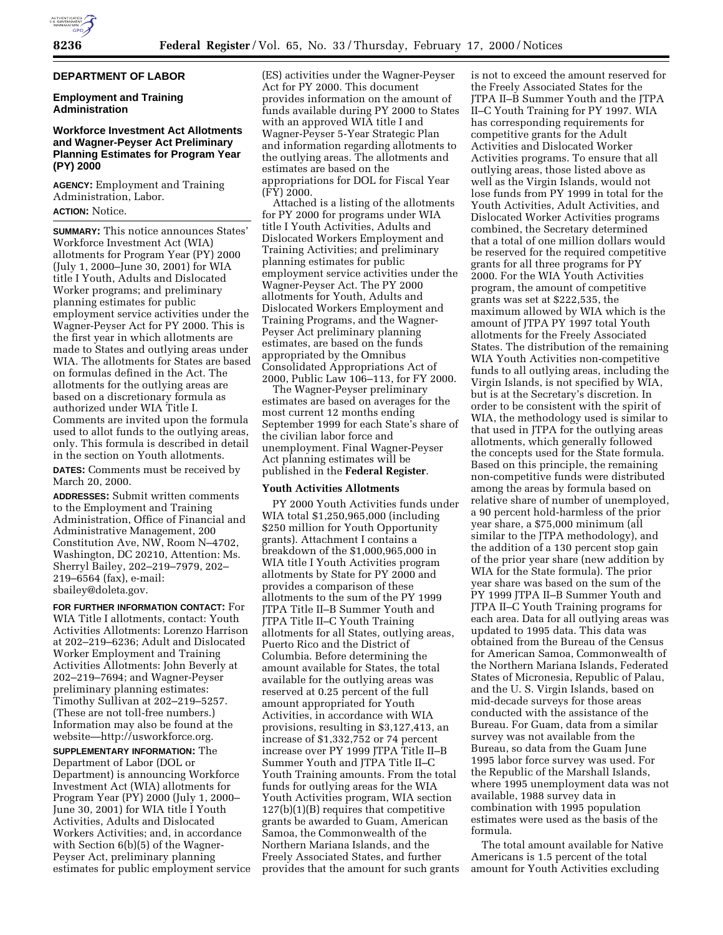## **DEPARTMENT OF LABOR**

## **Employment and Training Administration**

## **Workforce Investment Act Allotments and Wagner-Peyser Act Preliminary Planning Estimates for Program Year (PY) 2000**

**AGENCY:** Employment and Training Administration, Labor. **ACTION:** Notice.

**SUMMARY:** This notice announces States' Workforce Investment Act (WIA) allotments for Program Year (PY) 2000 (July 1, 2000–June 30, 2001) for WIA title I Youth, Adults and Dislocated Worker programs; and preliminary planning estimates for public employment service activities under the Wagner-Peyser Act for PY 2000. This is the first year in which allotments are made to States and outlying areas under WIA. The allotments for States are based on formulas defined in the Act. The allotments for the outlying areas are based on a discretionary formula as authorized under WIA Title I. Comments are invited upon the formula used to allot funds to the outlying areas, only. This formula is described in detail in the section on Youth allotments. **DATES:** Comments must be received by

March 20, 2000.

**ADDRESSES:** Submit written comments to the Employment and Training Administration, Office of Financial and Administrative Management, 200 Constitution Ave, NW, Room N–4702, Washington, DC 20210, Attention: Ms. Sherryl Bailey, 202–219–7979, 202– 219–6564 (fax), e-mail: sbailey@doleta.gov.

**FOR FURTHER INFORMATION CONTACT:** For WIA Title I allotments, contact: Youth Activities Allotments: Lorenzo Harrison at 202–219–6236; Adult and Dislocated Worker Employment and Training Activities Allotments: John Beverly at 202–219–7694; and Wagner-Peyser preliminary planning estimates: Timothy Sullivan at 202–219–5257. (These are not toll-free numbers.) Information may also be found at the website—http://usworkforce.org.

**SUPPLEMENTARY INFORMATION:** The Department of Labor (DOL or Department) is announcing Workforce Investment Act (WIA) allotments for Program Year (PY) 2000 (July 1, 2000– June 30, 2001) for WIA title I Youth Activities, Adults and Dislocated Workers Activities; and, in accordance with Section 6(b)(5) of the Wagner-Peyser Act, preliminary planning estimates for public employment service (ES) activities under the Wagner-Peyser Act for PY 2000. This document provides information on the amount of funds available during PY 2000 to States with an approved WIA title I and Wagner-Peyser 5-Year Strategic Plan and information regarding allotments to the outlying areas. The allotments and estimates are based on the appropriations for DOL for Fiscal Year (FY) 2000.

Attached is a listing of the allotments for PY 2000 for programs under WIA title I Youth Activities, Adults and Dislocated Workers Employment and Training Activities; and preliminary planning estimates for public employment service activities under the Wagner-Peyser Act. The PY 2000 allotments for Youth, Adults and Dislocated Workers Employment and Training Programs, and the Wagner-Peyser Act preliminary planning estimates, are based on the funds appropriated by the Omnibus Consolidated Appropriations Act of 2000, Public Law 106–113, for FY 2000.

The Wagner-Peyser preliminary estimates are based on averages for the most current 12 months ending September 1999 for each State's share of the civilian labor force and unemployment. Final Wagner-Peyser Act planning estimates will be published in the **Federal Register**.

#### **Youth Activities Allotments**

PY 2000 Youth Activities funds under WIA total \$1,250,965,000 (including \$250 million for Youth Opportunity grants). Attachment I contains a breakdown of the \$1,000,965,000 in WIA title I Youth Activities program allotments by State for PY 2000 and provides a comparison of these allotments to the sum of the PY 1999 JTPA Title II–B Summer Youth and JTPA Title II–C Youth Training allotments for all States, outlying areas, Puerto Rico and the District of Columbia. Before determining the amount available for States, the total available for the outlying areas was reserved at 0.25 percent of the full amount appropriated for Youth Activities, in accordance with WIA provisions, resulting in \$3,127,413, an increase of \$1,332,752 or 74 percent increase over PY 1999 JTPA Title II–B Summer Youth and JTPA Title II–C Youth Training amounts. From the total funds for outlying areas for the WIA Youth Activities program, WIA section 127(b)(1)(B) requires that competitive grants be awarded to Guam, American Samoa, the Commonwealth of the Northern Mariana Islands, and the Freely Associated States, and further provides that the amount for such grants

is not to exceed the amount reserved for the Freely Associated States for the JTPA II–B Summer Youth and the JTPA II–C Youth Training for PY 1997. WIA has corresponding requirements for competitive grants for the Adult Activities and Dislocated Worker Activities programs. To ensure that all outlying areas, those listed above as well as the Virgin Islands, would not lose funds from PY 1999 in total for the Youth Activities, Adult Activities, and Dislocated Worker Activities programs combined, the Secretary determined that a total of one million dollars would be reserved for the required competitive grants for all three programs for PY 2000. For the WIA Youth Activities program, the amount of competitive grants was set at \$222,535, the maximum allowed by WIA which is the amount of JTPA PY 1997 total Youth allotments for the Freely Associated States. The distribution of the remaining WIA Youth Activities non-competitive funds to all outlying areas, including the Virgin Islands, is not specified by WIA, but is at the Secretary's discretion. In order to be consistent with the spirit of WIA, the methodology used is similar to that used in JTPA for the outlying areas allotments, which generally followed the concepts used for the State formula. Based on this principle, the remaining non-competitive funds were distributed among the areas by formula based on relative share of number of unemployed, a 90 percent hold-harmless of the prior year share, a \$75,000 minimum (all similar to the JTPA methodology), and the addition of a 130 percent stop gain of the prior year share (new addition by WIA for the State formula). The prior year share was based on the sum of the PY 1999 JTPA II–B Summer Youth and JTPA II–C Youth Training programs for each area. Data for all outlying areas was updated to 1995 data. This data was obtained from the Bureau of the Census for American Samoa, Commonwealth of the Northern Mariana Islands, Federated States of Micronesia, Republic of Palau, and the U. S. Virgin Islands, based on mid-decade surveys for those areas conducted with the assistance of the Bureau. For Guam, data from a similar survey was not available from the Bureau, so data from the Guam June 1995 labor force survey was used. For the Republic of the Marshall Islands, where 1995 unemployment data was not available, 1988 survey data in combination with 1995 population estimates were used as the basis of the formula.

The total amount available for Native Americans is 1.5 percent of the total amount for Youth Activities excluding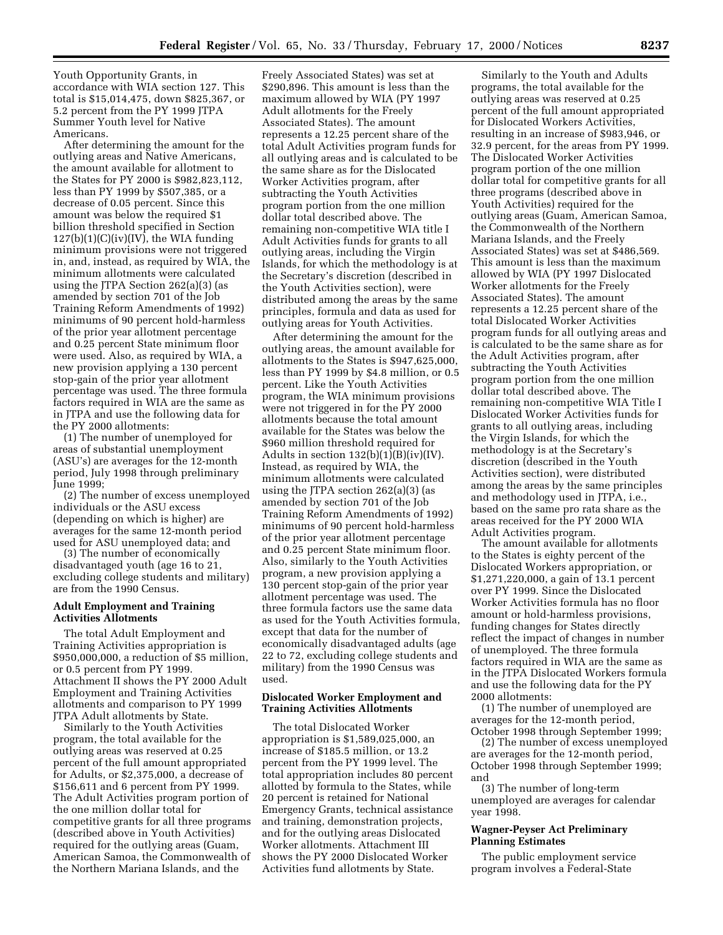Youth Opportunity Grants, in accordance with WIA section 127. This total is \$15,014,475, down \$825,367, or 5.2 percent from the PY 1999 JTPA Summer Youth level for Native Americans.

After determining the amount for the outlying areas and Native Americans, the amount available for allotment to the States for PY 2000 is \$982,823,112, less than PY 1999 by \$507,385, or a decrease of 0.05 percent. Since this amount was below the required \$1 billion threshold specified in Section  $127(b)(1)(C)(iv)(IV)$ , the WIA funding minimum provisions were not triggered in, and, instead, as required by WIA, the minimum allotments were calculated using the JTPA Section 262(a)(3) (as amended by section 701 of the Job Training Reform Amendments of 1992) minimums of 90 percent hold-harmless of the prior year allotment percentage and 0.25 percent State minimum floor were used. Also, as required by WIA, a new provision applying a 130 percent stop-gain of the prior year allotment percentage was used. The three formula factors required in WIA are the same as in JTPA and use the following data for the PY 2000 allotments:

(1) The number of unemployed for areas of substantial unemployment (ASU's) are averages for the 12-month period, July 1998 through preliminary June 1999;

(2) The number of excess unemployed individuals or the ASU excess (depending on which is higher) are averages for the same 12-month period used for ASU unemployed data; and

(3) The number of economically disadvantaged youth (age 16 to 21, excluding college students and military) are from the 1990 Census.

#### **Adult Employment and Training Activities Allotments**

The total Adult Employment and Training Activities appropriation is \$950,000,000, a reduction of \$5 million, or 0.5 percent from PY 1999. Attachment II shows the PY 2000 Adult Employment and Training Activities allotments and comparison to PY 1999 JTPA Adult allotments by State.

Similarly to the Youth Activities program, the total available for the outlying areas was reserved at 0.25 percent of the full amount appropriated for Adults, or \$2,375,000, a decrease of \$156,611 and 6 percent from PY 1999. The Adult Activities program portion of the one million dollar total for competitive grants for all three programs (described above in Youth Activities) required for the outlying areas (Guam, American Samoa, the Commonwealth of the Northern Mariana Islands, and the

Freely Associated States) was set at \$290,896. This amount is less than the maximum allowed by WIA (PY 1997 Adult allotments for the Freely Associated States). The amount represents a 12.25 percent share of the total Adult Activities program funds for all outlying areas and is calculated to be the same share as for the Dislocated Worker Activities program, after subtracting the Youth Activities program portion from the one million dollar total described above. The remaining non-competitive WIA title I Adult Activities funds for grants to all outlying areas, including the Virgin Islands, for which the methodology is at the Secretary's discretion (described in the Youth Activities section), were distributed among the areas by the same principles, formula and data as used for outlying areas for Youth Activities.

After determining the amount for the outlying areas, the amount available for allotments to the States is \$947,625,000, less than PY 1999 by \$4.8 million, or 0.5 percent. Like the Youth Activities program, the WIA minimum provisions were not triggered in for the PY 2000 allotments because the total amount available for the States was below the \$960 million threshold required for Adults in section  $132(b)(1)(B)(iv)(IV)$ . Instead, as required by WIA, the minimum allotments were calculated using the JTPA section 262(a)(3) (as amended by section 701 of the Job Training Reform Amendments of 1992) minimums of 90 percent hold-harmless of the prior year allotment percentage and 0.25 percent State minimum floor. Also, similarly to the Youth Activities program, a new provision applying a 130 percent stop-gain of the prior year allotment percentage was used. The three formula factors use the same data as used for the Youth Activities formula, except that data for the number of economically disadvantaged adults (age 22 to 72, excluding college students and military) from the 1990 Census was used.

### **Dislocated Worker Employment and Training Activities Allotments**

The total Dislocated Worker appropriation is \$1,589,025,000, an increase of \$185.5 million, or 13.2 percent from the PY 1999 level. The total appropriation includes 80 percent allotted by formula to the States, while 20 percent is retained for National Emergency Grants, technical assistance and training, demonstration projects, and for the outlying areas Dislocated Worker allotments. Attachment III shows the PY 2000 Dislocated Worker Activities fund allotments by State.

Similarly to the Youth and Adults programs, the total available for the outlying areas was reserved at 0.25 percent of the full amount appropriated for Dislocated Workers Activities, resulting in an increase of \$983,946, or 32.9 percent, for the areas from PY 1999. The Dislocated Worker Activities program portion of the one million dollar total for competitive grants for all three programs (described above in Youth Activities) required for the outlying areas (Guam, American Samoa, the Commonwealth of the Northern Mariana Islands, and the Freely Associated States) was set at \$486,569. This amount is less than the maximum allowed by WIA (PY 1997 Dislocated Worker allotments for the Freely Associated States). The amount represents a 12.25 percent share of the total Dislocated Worker Activities program funds for all outlying areas and is calculated to be the same share as for the Adult Activities program, after subtracting the Youth Activities program portion from the one million dollar total described above. The remaining non-competitive WIA Title I Dislocated Worker Activities funds for grants to all outlying areas, including the Virgin Islands, for which the methodology is at the Secretary's discretion (described in the Youth Activities section), were distributed among the areas by the same principles and methodology used in JTPA, i.e., based on the same pro rata share as the areas received for the PY 2000 WIA Adult Activities program.

The amount available for allotments to the States is eighty percent of the Dislocated Workers appropriation, or \$1,271,220,000, a gain of 13.1 percent over PY 1999. Since the Dislocated Worker Activities formula has no floor amount or hold-harmless provisions, funding changes for States directly reflect the impact of changes in number of unemployed. The three formula factors required in WIA are the same as in the JTPA Dislocated Workers formula and use the following data for the PY 2000 allotments:

(1) The number of unemployed are averages for the 12-month period, October 1998 through September 1999;

(2) The number of excess unemployed are averages for the 12-month period, October 1998 through September 1999; and

(3) The number of long-term unemployed are averages for calendar year 1998.

## **Wagner-Peyser Act Preliminary Planning Estimates**

The public employment service program involves a Federal-State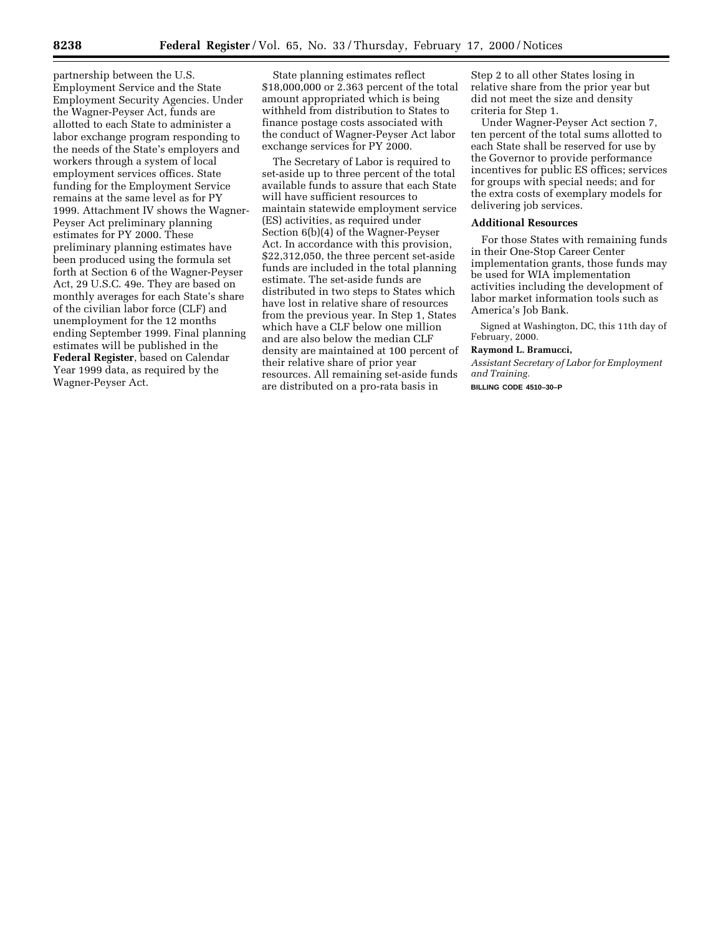partnership between the U.S. Employment Service and the State Employment Security Agencies. Under the Wagner-Peyser Act, funds are allotted to each State to administer a labor exchange program responding to the needs of the State's employers and workers through a system of local employment services offices. State funding for the Employment Service remains at the same level as for PY 1999. Attachment IV shows the Wagner-Peyser Act preliminary planning estimates for PY 2000. These preliminary planning estimates have been produced using the formula set forth at Section 6 of the Wagner-Peyser Act, 29 U.S.C. 49e. They are based on monthly averages for each State's share of the civilian labor force (CLF) and unemployment for the 12 months ending September 1999. Final planning estimates will be published in the **Federal Register**, based on Calendar Year 1999 data, as required by the Wagner-Peyser Act.

State planning estimates reflect \$18,000,000 or 2.363 percent of the total amount appropriated which is being withheld from distribution to States to finance postage costs associated with the conduct of Wagner-Peyser Act labor exchange services for PY 2000.

The Secretary of Labor is required to set-aside up to three percent of the total available funds to assure that each State will have sufficient resources to maintain statewide employment service (ES) activities, as required under Section 6(b)(4) of the Wagner-Peyser Act. In accordance with this provision, \$22,312,050, the three percent set-aside funds are included in the total planning estimate. The set-aside funds are distributed in two steps to States which have lost in relative share of resources from the previous year. In Step 1, States which have a CLF below one million and are also below the median CLF density are maintained at 100 percent of their relative share of prior year resources. All remaining set-aside funds are distributed on a pro-rata basis in

Step 2 to all other States losing in relative share from the prior year but did not meet the size and density criteria for Step 1.

Under Wagner-Peyser Act section 7, ten percent of the total sums allotted to each State shall be reserved for use by the Governor to provide performance incentives for public ES offices; services for groups with special needs; and for the extra costs of exemplary models for delivering job services.

#### **Additional Resources**

For those States with remaining funds in their One-Stop Career Center implementation grants, those funds may be used for WIA implementation activities including the development of labor market information tools such as America's Job Bank.

Signed at Washington, DC, this 11th day of February, 2000.

## **Raymond L. Bramucci,**

*Assistant Secretary of Labor for Employment and Training.*

**BILLING CODE 4510–30–P**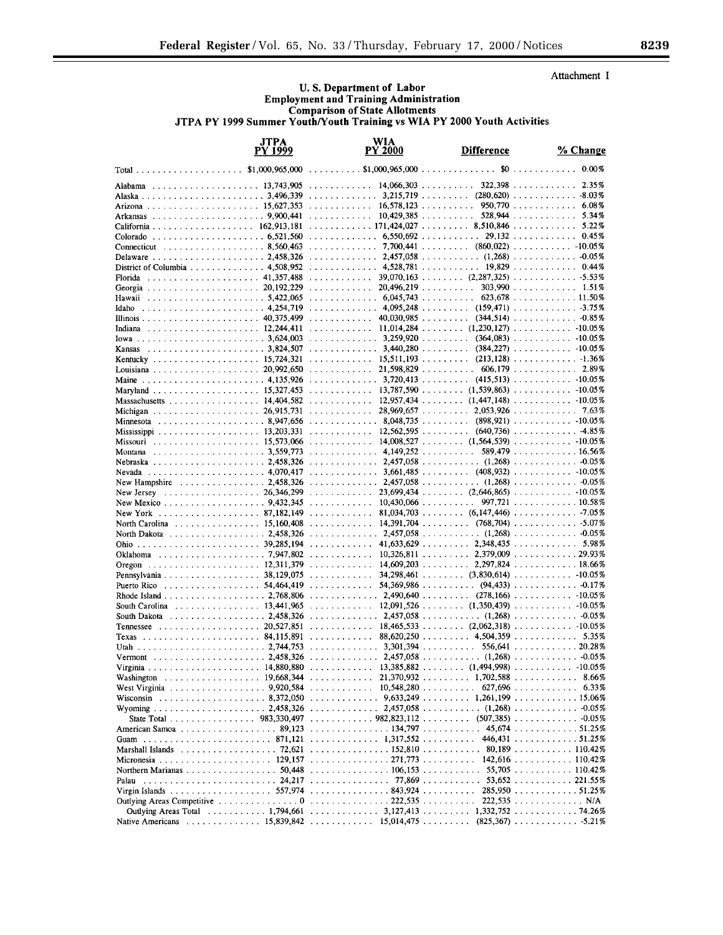Attachment I

# U.S. Department of Labor<br>Employment and Training Administration **Comparison of State Allotments** JTPA PY 1999 Summer Youth/Youth Training vs WIA PY 2000 Youth Activities

| JTPA<br>PY 1999                                           | WIA<br><b>PY 2000</b>                                                                                                  | <b>Difference</b>                      | % Change                            |
|-----------------------------------------------------------|------------------------------------------------------------------------------------------------------------------------|----------------------------------------|-------------------------------------|
| \$1,000,965,000                                           | .                                                                                                                      |                                        | 0.00%                               |
|                                                           | .                                                                                                                      | 14.066.303                             | 322.398<br>2.35%                    |
|                                                           |                                                                                                                        |                                        |                                     |
|                                                           | $\ldots \ldots \ldots \ldots 16,578,123 \ldots \ldots \ldots$                                                          |                                        | $950,770$ 6.08%<br>5.34%            |
|                                                           |                                                                                                                        |                                        | 5.22%                               |
|                                                           | $\ldots \ldots \ldots \ldots 6,550,692 \ldots \ldots \ldots 29,132 \ldots \ldots \ldots$                               |                                        | 0.45%                               |
| Connecticut 8,560,463                                     |                                                                                                                        |                                        |                                     |
|                                                           |                                                                                                                        |                                        |                                     |
| District of Columbia $\ldots$ ,  4,508,952                | $\ldots \ldots \ldots \ldots$ 4,528,781 19,829                                                                         |                                        | 0.44%                               |
| Florida                                                   | .                                                                                                                      |                                        | $39,070,163$ $(2,287,325)$ 5.53%    |
|                                                           | .                                                                                                                      | 20,496,219                             | $303,990$ 1.51%<br>$623.678$ 11.50% |
| Hawaii<br>Idaho                                           | $\ldots \ldots \ldots \ldots \ldots 6,045,743 \ldots \ldots \ldots$                                                    |                                        |                                     |
|                                                           |                                                                                                                        |                                        | $40,030,985$ $(344,514)$ $-0.85\%$  |
|                                                           | 11,014,284  (1,230,127)  -10.05%                                                                                       |                                        |                                     |
|                                                           | $\ldots \ldots \ldots \ldots$ 3,259,920 $\ldots \ldots \ldots$ (364,083) $\ldots \ldots \ldots \ldots$ -10.05%         |                                        |                                     |
| Kansas                                                    |                                                                                                                        |                                        |                                     |
|                                                           |                                                                                                                        |                                        |                                     |
|                                                           | 21,598,829  606,179  2.89%                                                                                             |                                        |                                     |
|                                                           |                                                                                                                        |                                        |                                     |
| Massachusetts 14,404,582                                  | $\ldots \ldots \ldots$ 13.787.590 $\ldots \ldots$ (1.539.863) $\ldots \ldots \ldots$ -10.05%                           |                                        |                                     |
|                                                           | .                                                                                                                      | $28,969,657 \ldots$ $2,053,926 \ldots$ | 7.63%                               |
| Minnesota 8,947,656                                       | 8,048,735  (898,921)  -10.05%                                                                                          |                                        |                                     |
|                                                           | $\ldots \ldots \ldots \ldots 12,562,595 \ldots \ldots \ldots$                                                          |                                        | $(640,736)$ 4.85%                   |
|                                                           | $\ldots \ldots \ldots$ 14.008.527 $\ldots \ldots$ (1.564.539) $\ldots \ldots \ldots$ -10.05%                           |                                        |                                     |
|                                                           | $\ldots \ldots \ldots \ldots$ 4,149,252                                                                                |                                        | $589.479$ 16.56%                    |
|                                                           |                                                                                                                        |                                        |                                     |
|                                                           |                                                                                                                        |                                        |                                     |
| New Hampshire  2,458,326                                  |                                                                                                                        |                                        |                                     |
| . 26.346.299<br>New Jersey<br>New Mexico 9,432,345        | $\ldots \ldots \ldots \ldots 10,430,066 \ldots \ldots \ldots$                                                          |                                        | $997,721$ 10.58%                    |
| New York 87,182,149                                       | .                                                                                                                      |                                        |                                     |
| North Carolina 15,160,408                                 | .                                                                                                                      |                                        |                                     |
| North Dakota 2,458,326                                    | $\ldots \ldots \ldots \ldots$ 2,457,058 $\ldots \ldots \ldots$ (1,268) $\ldots \ldots \ldots \ldots$ 0.05%             |                                        |                                     |
|                                                           | .                                                                                                                      |                                        | $41,633,629$ 2,348,435 5.98%        |
|                                                           | 10,326,811  2,379,009  29.93%                                                                                          |                                        |                                     |
|                                                           | .                                                                                                                      |                                        |                                     |
| Pennsylvania 38,129,075                                   | . . <i>. .</i>                                                                                                         |                                        | $34,298,461$ (3,830,614) -10.05%    |
| Puerto Rico                                               | . . <i>.</i><br>$\ldots \ldots \ldots \ldots \ldots 2,490,640 \ldots \ldots \ldots$                                    |                                        | $(278, 166)$ 40.05%                 |
| South Carolina 13,441,965                                 |                                                                                                                        |                                        |                                     |
| South Dakota 2,458,326                                    |                                                                                                                        |                                        |                                     |
|                                                           | $\dots \dots \dots \dots \dots$ 18,465,533 $\dots \dots \dots$ (2,062,318) $\dots \dots \dots \dots \dots \dots \dots$ |                                        |                                     |
|                                                           | .                                                                                                                      |                                        | $88,620,250$ 4,504,359 5.35%        |
|                                                           | $\ldots \ldots \ldots \ldots$ 3,301,394 $\ldots \ldots \ldots$ 556,641 $\ldots \ldots \ldots \ldots$ 20.28%            |                                        |                                     |
|                                                           |                                                                                                                        |                                        |                                     |
| Virginia                                                  | $\ldots \ldots \ldots \ldots$ 13.385.882.                                                                              | (1, 494, 998)                          | $-10.05%$                           |
|                                                           |                                                                                                                        |                                        | 8.66%                               |
|                                                           |                                                                                                                        |                                        | 6.33%                               |
|                                                           |                                                                                                                        |                                        |                                     |
|                                                           |                                                                                                                        |                                        |                                     |
|                                                           |                                                                                                                        |                                        |                                     |
|                                                           |                                                                                                                        |                                        |                                     |
| Marshall Islands   72,621   152,810    80,189  110.42%    |                                                                                                                        |                                        |                                     |
|                                                           |                                                                                                                        |                                        |                                     |
| Northern Marianas 50,448 106,153 55,705 110.42%           |                                                                                                                        |                                        |                                     |
| Palau                                                     |                                                                                                                        |                                        |                                     |
|                                                           |                                                                                                                        |                                        | $222,535$ N/A                       |
| Outlying Areas Total 1,794,661 3,127,413 1,332,752 74.26% |                                                                                                                        |                                        |                                     |
|                                                           |                                                                                                                        |                                        |                                     |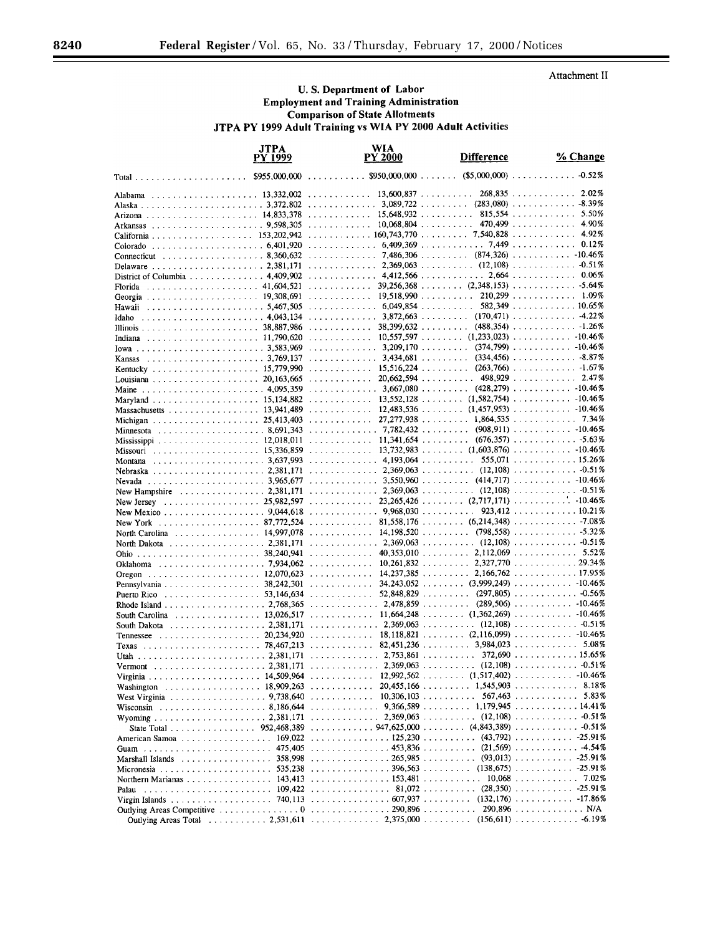Attachment II

## U.S. Department of Labor **Employment and Training Administration Comparison of State Allotments** JTPA PY 1999 Adult Training vs WIA PY 2000 Adult Activities

|                                | <b>JTPA</b><br>PY 1999 | WIA<br><b>PY 2000</b>                                                                                   | <b>Difference</b>                                   | % Change                                               |
|--------------------------------|------------------------|---------------------------------------------------------------------------------------------------------|-----------------------------------------------------|--------------------------------------------------------|
|                                | \$955,000,000          | $\ldots \ldots \ldots$ \$950,000,000 $\ldots \ldots$                                                    |                                                     | $($5,000,000) \ldots \ldots \ldots \ldots$<br>$-0.52%$ |
| Alabama                        |                        | .                                                                                                       | 13,600,837                                          | $268,835$<br>2.02%                                     |
|                                |                        |                                                                                                         |                                                     |                                                        |
|                                |                        |                                                                                                         | 15,648,932                                          | 5.50%<br>$815,554$                                     |
|                                |                        |                                                                                                         | $10,068,804$                                        | 4.90%<br>470,499                                       |
|                                |                        | $\ldots \ldots \ldots \ldots 160,743,770$                                                               | $\ldots \ldots 7,540,828$                           | 4.92%<br>.                                             |
|                                |                        |                                                                                                         |                                                     | 0.12%                                                  |
| . 8.360.632<br>Connecticut     |                        | . 7,486,306                                                                                             |                                                     | $(874,326)$ -10.46%                                    |
|                                |                        |                                                                                                         |                                                     |                                                        |
| District of Columbia 4.409.902 |                        | .                                                                                                       |                                                     | $39.256.368$ $(2.348.153)$ 5.64%                       |
| Florida                        |                        | . 19,518,990                                                                                            |                                                     | $210,299$ 1.09%                                        |
|                                |                        | $\ldots \ldots \ldots \ldots \ldots 6,049,854 \ldots \ldots \ldots$                                     |                                                     | $582,349$ 10.65%                                       |
| Idaho                          |                        | $\ldots \ldots \ldots \ldots$ 3,872,663  (170,471)  -4.22%                                              |                                                     |                                                        |
|                                |                        | .                                                                                                       | $38,399,632$                                        | $(488,354)$ -1.26%                                     |
|                                |                        |                                                                                                         |                                                     |                                                        |
|                                |                        |                                                                                                         |                                                     |                                                        |
|                                |                        |                                                                                                         |                                                     |                                                        |
|                                |                        | . . <i>. . .</i>                                                                                        |                                                     |                                                        |
|                                |                        | .                                                                                                       | $20,662,594$                                        | $498,929$<br>2.47%                                     |
|                                |                        |                                                                                                         |                                                     |                                                        |
|                                |                        |                                                                                                         |                                                     |                                                        |
| Massachusetts 13,941,489       |                        |                                                                                                         |                                                     |                                                        |
|                                |                        | .                                                                                                       |                                                     | $27.277.938$ 1.864.535 7.34%                           |
|                                |                        |                                                                                                         |                                                     | $(908, 911)$ -10.46%                                   |
|                                |                        | $\ldots \ldots \ldots \ldots$ 11.341.654 $\ldots \ldots \ldots$                                         |                                                     | $(676,357)$ 5.63%                                      |
|                                |                        |                                                                                                         |                                                     |                                                        |
| Montana                        |                        | . 4,193,064                                                                                             |                                                     | $555,071$ 15.26%                                       |
|                                |                        |                                                                                                         |                                                     |                                                        |
| . 2,381,171<br>New Hampshire   |                        | $\ldots \ldots \ldots \ldots$ 2,369,063  (12,108)  -0.51%                                               |                                                     |                                                        |
| . 25,982,597<br>New Jersey     |                        |                                                                                                         |                                                     | $23,265,426$ (2,717,171) 10.46%                        |
| New Mexico 9,044,618           |                        | $\ldots \ldots \ldots \ldots$ 9,968,030 $\ldots \ldots \ldots$                                          |                                                     | $923,412$ 10.21%                                       |
| New York 87,772,524            |                        |                                                                                                         |                                                     |                                                        |
| North Carolina 14,997,078      |                        | .                                                                                                       |                                                     |                                                        |
| North Dakota 2,381,171         |                        |                                                                                                         |                                                     |                                                        |
|                                |                        | .                                                                                                       | $40,353,010$ 2,112,069                              | . 5.52%                                                |
|                                |                        |                                                                                                         |                                                     | .<br>29.34%                                            |
|                                |                        | $\ldots$ , , , 14,237,385 2,166,762                                                                     |                                                     | . 17.95%                                               |
| Pennsylvania 38,242,301        |                        | .                                                                                                       |                                                     | $34,243,052$ $(3,999,249)$ $10.46\%$                   |
| Puerto Rico 53,146,634         |                        | .                                                                                                       |                                                     | $52,848,829$ (297,805) - 0.56%                         |
|                                |                        | . 2,478,859                                                                                             |                                                     |                                                        |
| South Carolina 13,026,517      |                        |                                                                                                         |                                                     |                                                        |
| South Dakota 2,381,171         |                        |                                                                                                         |                                                     |                                                        |
|                                |                        | .                                                                                                       |                                                     |                                                        |
|                                |                        | $\ldots \ldots \ldots$ 82,451,236 $\ldots \ldots$ 3,984,023 $\ldots \ldots \ldots$ 5.08%<br>. 2,753,861 |                                                     | $372,690$ 15.65%                                       |
|                                |                        | $\ldots$ 2,369,063                                                                                      | $\mathcal{L}$ . The set of the set of $\mathcal{L}$ | $(12, 108)$<br>$-0.51%$                                |
| Vermont                        |                        |                                                                                                         |                                                     |                                                        |
| Washington 18,909,263          |                        | .                                                                                                       | $20,455,166$ 1,545,903                              | 8.18%                                                  |
| West Virginia 9,738,640        |                        | $\ldots \ldots \ldots \ldots 10,306,103 \ldots \ldots \ldots$                                           |                                                     | $567,463$<br>5.83%                                     |
|                                |                        |                                                                                                         |                                                     |                                                        |
|                                |                        |                                                                                                         |                                                     |                                                        |
|                                |                        |                                                                                                         |                                                     |                                                        |
|                                |                        |                                                                                                         |                                                     |                                                        |
|                                |                        |                                                                                                         |                                                     |                                                        |
| . 358,998<br>Marshall Islands  |                        | . 265,985 (93,013) -25.91%                                                                              |                                                     |                                                        |
|                                |                        |                                                                                                         |                                                     |                                                        |
|                                |                        |                                                                                                         |                                                     |                                                        |
| Palau                          |                        |                                                                                                         |                                                     |                                                        |
|                                |                        |                                                                                                         |                                                     |                                                        |
|                                |                        |                                                                                                         |                                                     |                                                        |
|                                |                        |                                                                                                         |                                                     |                                                        |

п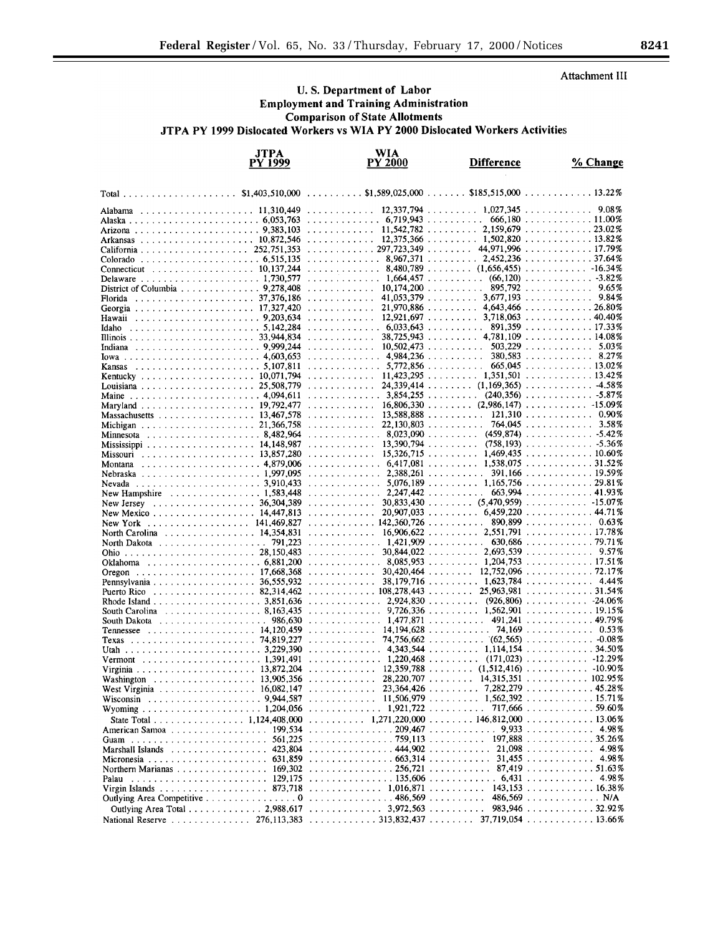Attachment III

## U.S. Department of Labor **Employment and Training Administration Comparison of State Allotments** JTPA PY 1999 Dislocated Workers vs WIA PY 2000 Dislocated Workers Activities

|                                                                        | <b>JTPA</b><br>PY 1999 | <b>WIA</b><br>PY 2000                                                                                                               | <b>Difference</b>                                                                                                                                                                                                                            | % Change                                                                                   |
|------------------------------------------------------------------------|------------------------|-------------------------------------------------------------------------------------------------------------------------------------|----------------------------------------------------------------------------------------------------------------------------------------------------------------------------------------------------------------------------------------------|--------------------------------------------------------------------------------------------|
|                                                                        | \$1,403,510,000        | $$1,589,025,000$<br>1.1.1.1.1.1.1.1.1                                                                                               |                                                                                                                                                                                                                                              | $$185,515,000$ 13.22%                                                                      |
|                                                                        |                        | .                                                                                                                                   | $12,337,794$ 1,027,345                                                                                                                                                                                                                       | 9.08%<br>$\begin{array}{cccccccccccccc} . & . & . & . & . & . & . & . & . & . \end{array}$ |
|                                                                        |                        | . 6,719,943                                                                                                                         |                                                                                                                                                                                                                                              | $666.180$ 11.00%                                                                           |
|                                                                        |                        | 11.542.782                                                                                                                          |                                                                                                                                                                                                                                              | $2,159,679$ 23.02%                                                                         |
|                                                                        |                        |                                                                                                                                     | $12,375,366$ 1,502,820 13.82%                                                                                                                                                                                                                |                                                                                            |
| California 252,751,353                                                 |                        | $\ldots \ldots \ldots \ldots 297,723,349$                                                                                           | 44,971,996<br>1.1.1.1.1.1.1                                                                                                                                                                                                                  | . 17.79%                                                                                   |
|                                                                        |                        | . 8,967,371                                                                                                                         | 2.452.236<br>.<br>$8,480,789$ (1,656,455) -16.34%                                                                                                                                                                                            | 37.64%                                                                                     |
| Connecticut 10,137,244                                                 |                        | . 1.664.457                                                                                                                         | (66, 120)                                                                                                                                                                                                                                    | $\ldots$ -3.82%                                                                            |
| District of Columbia 9,278,408                                         |                        | 10.174.200                                                                                                                          |                                                                                                                                                                                                                                              | $895,792$<br>9.65%                                                                         |
| Florida                                                                |                        | 41.053.379<br>.                                                                                                                     | $\ldots \ldots \ldots 3,677,193 \ldots \ldots \ldots \ldots$                                                                                                                                                                                 | 9.84%                                                                                      |
|                                                                        |                        | 21,970,886                                                                                                                          | $\ldots \ldots \ldots 4.643.466 \ldots \ldots \ldots 26.80\%$                                                                                                                                                                                |                                                                                            |
|                                                                        |                        | 12.921.697<br>.                                                                                                                     |                                                                                                                                                                                                                                              | $3.718.063$ 40.40%                                                                         |
| Idaho                                                                  |                        | $\ldots$ 6.033.643                                                                                                                  | .                                                                                                                                                                                                                                            | $891,359$ 17.33%                                                                           |
|                                                                        |                        | 38,725,943<br>.                                                                                                                     | 1.1.1.1.1.1.1.1                                                                                                                                                                                                                              | $4,781,109$ 14.08%                                                                         |
|                                                                        |                        | $\ldots$ 10.502.473                                                                                                                 | .                                                                                                                                                                                                                                            | $503,229$<br>5.03%                                                                         |
|                                                                        |                        | . 4.984,236                                                                                                                         | 380,583<br>$\mathbf{1}$ . The set of the set of the set of the set of the set of the set of the set of the set of the set of the set of the set of the set of the set of the set of the set of the set of the set of the set of the set of t | . 8.27%                                                                                    |
| Kansas 5,107,811                                                       |                        | 5,772,856<br>.                                                                                                                      |                                                                                                                                                                                                                                              | $665,045$ 13.02 %                                                                          |
|                                                                        |                        | $\ldots \ldots \ldots \ldots 11,423,295 \ldots \ldots \ldots 1,351,501$<br>. <i>.</i>                                               | $24.339.414$ $(1,169.365)$                                                                                                                                                                                                                   | . 13.42%<br>$-4.58\%$                                                                      |
|                                                                        |                        | . 3.854.255                                                                                                                         | $(240,356)$                                                                                                                                                                                                                                  | $-5.87\%$                                                                                  |
|                                                                        |                        | .                                                                                                                                   | $16,806,330$ (2,986,147)                                                                                                                                                                                                                     | . -15.09%                                                                                  |
| Massachusetts 13,467,578                                               |                        | $13,588,888$<br>.                                                                                                                   |                                                                                                                                                                                                                                              | 121,310<br>0.90%                                                                           |
|                                                                        |                        | 22.130.803                                                                                                                          |                                                                                                                                                                                                                                              | $764,045$<br>3.58%                                                                         |
| Minnesota 8,482,964                                                    |                        | $\ldots \ldots \ldots \ldots$ 8.023.090 $\ldots \ldots \ldots$                                                                      | (459, 874)                                                                                                                                                                                                                                   | . -5.42%                                                                                   |
|                                                                        |                        | 13,390,794                                                                                                                          | 1.1.1.1.1.1.1.1                                                                                                                                                                                                                              | $(758, 193)$ 5.36%                                                                         |
| Missouri $\ldots \ldots \ldots \ldots \ldots \ldots \ldots 13,857,280$ |                        | .                                                                                                                                   | $15,326,715$ 1,469,435                                                                                                                                                                                                                       | . 10.60%                                                                                   |
| Montana                                                                |                        | . 6.417.081                                                                                                                         | $\ldots \ldots \ldots 1.538.075$                                                                                                                                                                                                             | . 31.52%                                                                                   |
|                                                                        |                        | $2,388,261$<br>.                                                                                                                    | 391,166                                                                                                                                                                                                                                      | . 19.59%                                                                                   |
|                                                                        |                        |                                                                                                                                     |                                                                                                                                                                                                                                              | . 29.81%                                                                                   |
| New Hampshire<br>. 36,304,389                                          |                        | 2,247,442<br>. 1.583,448<br>.                                                                                                       | 663,994<br>$30,833,430$ (5,470,959) 15.07%                                                                                                                                                                                                   | . 41.93%                                                                                   |
| New Jersey<br>New Mexico 14,447,813                                    |                        | $20,907,033$<br>.                                                                                                                   | 6,459,220                                                                                                                                                                                                                                    | . 44.71%                                                                                   |
| New York<br>. <i>. .</i> .                                             |                        | 142,360,726<br>$141,469,827$                                                                                                        |                                                                                                                                                                                                                                              | 890,899<br>0.63%                                                                           |
| North Carolina 14.354.831                                              |                        | 16,906,622<br>.                                                                                                                     | 2.551,791<br>1.1.1.1.1.1.1.1                                                                                                                                                                                                                 | . 17.78%                                                                                   |
| North Dakota 791,223                                                   |                        | . 1.421.909                                                                                                                         |                                                                                                                                                                                                                                              | $630,686$ 79.71%                                                                           |
|                                                                        |                        | .                                                                                                                                   | $30.844.022$ $2.693.539$                                                                                                                                                                                                                     | 9.57%                                                                                      |
|                                                                        |                        |                                                                                                                                     |                                                                                                                                                                                                                                              | . 17.51%                                                                                   |
|                                                                        |                        | 30.420.464<br>.                                                                                                                     | 12,752,096<br>1.1.1.1.1.1.1                                                                                                                                                                                                                  | . 72.17%                                                                                   |
| Pennsylvania 36,555,932                                                |                        | .                                                                                                                                   | $38,179,716$ 1,623,784                                                                                                                                                                                                                       | . 4.44%                                                                                    |
| Puerto Rico 82,314,462                                                 |                        | $\ldots \ldots \ldots \ldots 108,278,443$                                                                                           | 25,963,981<br>1.1.1.1.1.1.1.1                                                                                                                                                                                                                | . 31.54%                                                                                   |
|                                                                        |                        | 2,924,830<br>9.726.336                                                                                                              | $\ldots$ 1,562,90119.15%                                                                                                                                                                                                                     | $(926.806)$ -24.06%                                                                        |
| South Carolina 8,163,435                                               |                        | .<br>$986,630$ 1,477,871                                                                                                            | 1.1.1.1.1.1.491.241                                                                                                                                                                                                                          | . 49.79%                                                                                   |
|                                                                        |                        | $\ldots \ldots \ldots \ldots$ 14,194,628                                                                                            |                                                                                                                                                                                                                                              | $74,169$<br>0.53%                                                                          |
|                                                                        |                        | .                                                                                                                                   |                                                                                                                                                                                                                                              |                                                                                            |
|                                                                        |                        |                                                                                                                                     |                                                                                                                                                                                                                                              | . 34.50%                                                                                   |
| Vermont                                                                |                        |                                                                                                                                     |                                                                                                                                                                                                                                              |                                                                                            |
|                                                                        |                        |                                                                                                                                     |                                                                                                                                                                                                                                              |                                                                                            |
|                                                                        |                        |                                                                                                                                     |                                                                                                                                                                                                                                              |                                                                                            |
|                                                                        |                        |                                                                                                                                     |                                                                                                                                                                                                                                              |                                                                                            |
|                                                                        |                        |                                                                                                                                     |                                                                                                                                                                                                                                              |                                                                                            |
|                                                                        |                        |                                                                                                                                     |                                                                                                                                                                                                                                              | $717,666$ 59.60%                                                                           |
|                                                                        |                        | State Total 1,124,408,000 1,271,220,000 146,812,000 13.06%                                                                          |                                                                                                                                                                                                                                              |                                                                                            |
|                                                                        |                        |                                                                                                                                     |                                                                                                                                                                                                                                              |                                                                                            |
|                                                                        |                        |                                                                                                                                     |                                                                                                                                                                                                                                              |                                                                                            |
|                                                                        |                        | Marshall Islands (all continuous control at 423,804 (also and all control at 44,902 (also control at 21,098 (also control at 4.98%) |                                                                                                                                                                                                                                              |                                                                                            |
|                                                                        |                        |                                                                                                                                     |                                                                                                                                                                                                                                              |                                                                                            |
|                                                                        |                        | Palau  129,175 135,606  4.98%                                                                                                       |                                                                                                                                                                                                                                              |                                                                                            |
|                                                                        |                        |                                                                                                                                     |                                                                                                                                                                                                                                              |                                                                                            |
|                                                                        |                        | Outlying Area Competitive 0 486,569                                                                                                 |                                                                                                                                                                                                                                              | $486,569$ N/A                                                                              |
|                                                                        |                        | Outlying Area Total 2,988,617 3,972,563                                                                                             |                                                                                                                                                                                                                                              | $983,946$ 32.92%                                                                           |
|                                                                        |                        |                                                                                                                                     |                                                                                                                                                                                                                                              |                                                                                            |